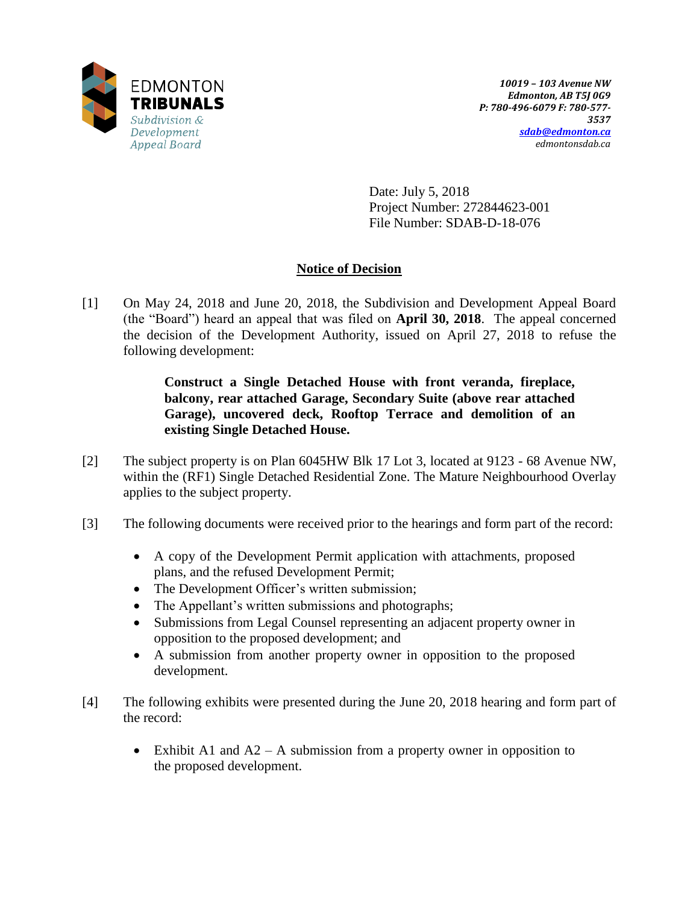

Date: July 5, 2018 Project Number: 272844623-001 File Number: SDAB-D-18-076

# **Notice of Decision**

[1] On May 24, 2018 and June 20, 2018, the Subdivision and Development Appeal Board (the "Board") heard an appeal that was filed on **April 30, 2018**. The appeal concerned the decision of the Development Authority, issued on April 27, 2018 to refuse the following development:

> **Construct a Single Detached House with front veranda, fireplace, balcony, rear attached Garage, Secondary Suite (above rear attached Garage), uncovered deck, Rooftop Terrace and demolition of an existing Single Detached House.**

- [2] The subject property is on Plan 6045HW Blk 17 Lot 3, located at 9123 68 Avenue NW, within the (RF1) Single Detached Residential Zone. The Mature Neighbourhood Overlay applies to the subject property.
- [3] The following documents were received prior to the hearings and form part of the record:
	- A copy of the Development Permit application with attachments, proposed plans, and the refused Development Permit;
	- The Development Officer's written submission;
	- The Appellant's written submissions and photographs;
	- Submissions from Legal Counsel representing an adjacent property owner in opposition to the proposed development; and
	- A submission from another property owner in opposition to the proposed development.
- [4] The following exhibits were presented during the June 20, 2018 hearing and form part of the record:
	- Exhibit A1 and  $A2 A$  submission from a property owner in opposition to the proposed development.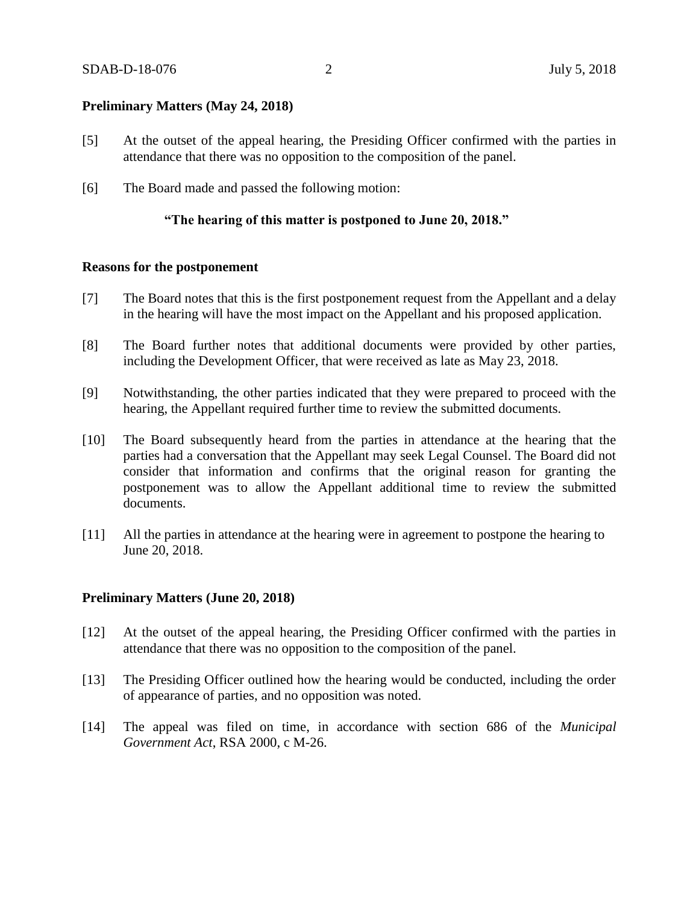### **Preliminary Matters (May 24, 2018)**

- [5] At the outset of the appeal hearing, the Presiding Officer confirmed with the parties in attendance that there was no opposition to the composition of the panel.
- [6] The Board made and passed the following motion:

### **"The hearing of this matter is postponed to June 20, 2018."**

### **Reasons for the postponement**

- [7] The Board notes that this is the first postponement request from the Appellant and a delay in the hearing will have the most impact on the Appellant and his proposed application.
- [8] The Board further notes that additional documents were provided by other parties, including the Development Officer, that were received as late as May 23, 2018.
- [9] Notwithstanding, the other parties indicated that they were prepared to proceed with the hearing, the Appellant required further time to review the submitted documents.
- [10] The Board subsequently heard from the parties in attendance at the hearing that the parties had a conversation that the Appellant may seek Legal Counsel. The Board did not consider that information and confirms that the original reason for granting the postponement was to allow the Appellant additional time to review the submitted documents.
- [11] All the parties in attendance at the hearing were in agreement to postpone the hearing to June 20, 2018.

### **Preliminary Matters (June 20, 2018)**

- [12] At the outset of the appeal hearing, the Presiding Officer confirmed with the parties in attendance that there was no opposition to the composition of the panel.
- [13] The Presiding Officer outlined how the hearing would be conducted, including the order of appearance of parties, and no opposition was noted.
- [14] The appeal was filed on time, in accordance with section 686 of the *Municipal Government Act*, RSA 2000, c M-26.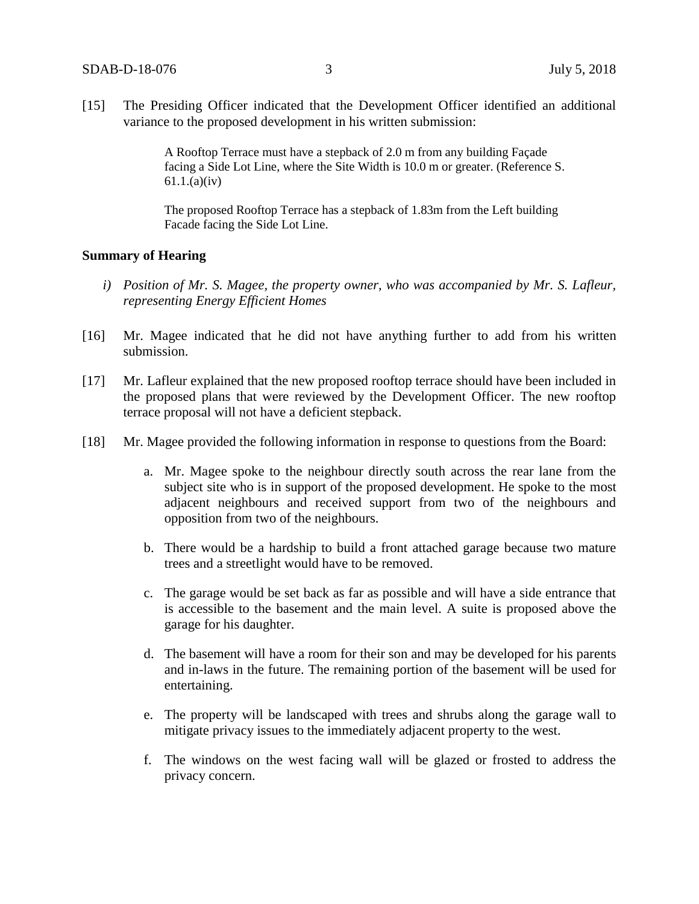[15] The Presiding Officer indicated that the Development Officer identified an additional variance to the proposed development in his written submission:

> A Rooftop Terrace must have a stepback of 2.0 m from any building Façade facing a Side Lot Line, where the Site Width is 10.0 m or greater. (Reference S. 61.1.(a)(iv)

The proposed Rooftop Terrace has a stepback of 1.83m from the Left building Facade facing the Side Lot Line.

### **Summary of Hearing**

- *i) Position of Mr. S. Magee, the property owner, who was accompanied by Mr. S. Lafleur, representing Energy Efficient Homes*
- [16] Mr. Magee indicated that he did not have anything further to add from his written submission.
- [17] Mr. Lafleur explained that the new proposed rooftop terrace should have been included in the proposed plans that were reviewed by the Development Officer. The new rooftop terrace proposal will not have a deficient stepback.
- [18] Mr. Magee provided the following information in response to questions from the Board:
	- a. Mr. Magee spoke to the neighbour directly south across the rear lane from the subject site who is in support of the proposed development. He spoke to the most adjacent neighbours and received support from two of the neighbours and opposition from two of the neighbours.
	- b. There would be a hardship to build a front attached garage because two mature trees and a streetlight would have to be removed.
	- c. The garage would be set back as far as possible and will have a side entrance that is accessible to the basement and the main level. A suite is proposed above the garage for his daughter.
	- d. The basement will have a room for their son and may be developed for his parents and in-laws in the future. The remaining portion of the basement will be used for entertaining.
	- e. The property will be landscaped with trees and shrubs along the garage wall to mitigate privacy issues to the immediately adjacent property to the west.
	- f. The windows on the west facing wall will be glazed or frosted to address the privacy concern.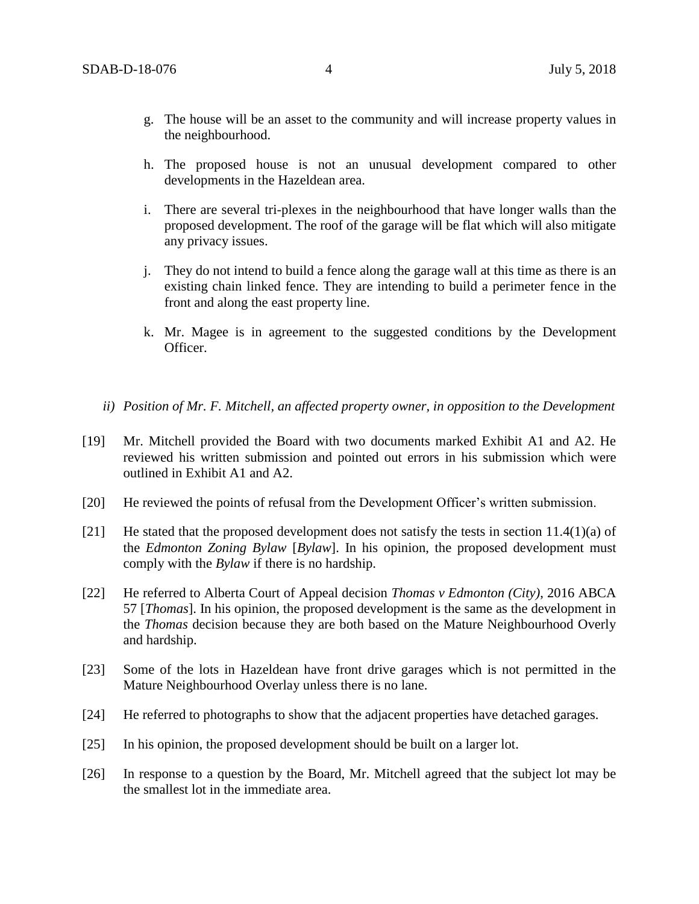- g. The house will be an asset to the community and will increase property values in the neighbourhood.
- h. The proposed house is not an unusual development compared to other developments in the Hazeldean area.
- i. There are several tri-plexes in the neighbourhood that have longer walls than the proposed development. The roof of the garage will be flat which will also mitigate any privacy issues.
- j. They do not intend to build a fence along the garage wall at this time as there is an existing chain linked fence. They are intending to build a perimeter fence in the front and along the east property line.
- k. Mr. Magee is in agreement to the suggested conditions by the Development Officer.
- *ii) Position of Mr. F. Mitchell, an affected property owner, in opposition to the Development*
- [19] Mr. Mitchell provided the Board with two documents marked Exhibit A1 and A2. He reviewed his written submission and pointed out errors in his submission which were outlined in Exhibit A1 and A2.
- [20] He reviewed the points of refusal from the Development Officer's written submission.
- [21] He stated that the proposed development does not satisfy the tests in section  $11.4(1)(a)$  of the *Edmonton Zoning Bylaw* [*Bylaw*]. In his opinion, the proposed development must comply with the *Bylaw* if there is no hardship.
- [22] He referred to Alberta Court of Appeal decision *Thomas v Edmonton (City)*, 2016 ABCA 57 [*Thomas*]. In his opinion, the proposed development is the same as the development in the *Thomas* decision because they are both based on the Mature Neighbourhood Overly and hardship.
- [23] Some of the lots in Hazeldean have front drive garages which is not permitted in the Mature Neighbourhood Overlay unless there is no lane.
- [24] He referred to photographs to show that the adjacent properties have detached garages.
- [25] In his opinion, the proposed development should be built on a larger lot.
- [26] In response to a question by the Board, Mr. Mitchell agreed that the subject lot may be the smallest lot in the immediate area.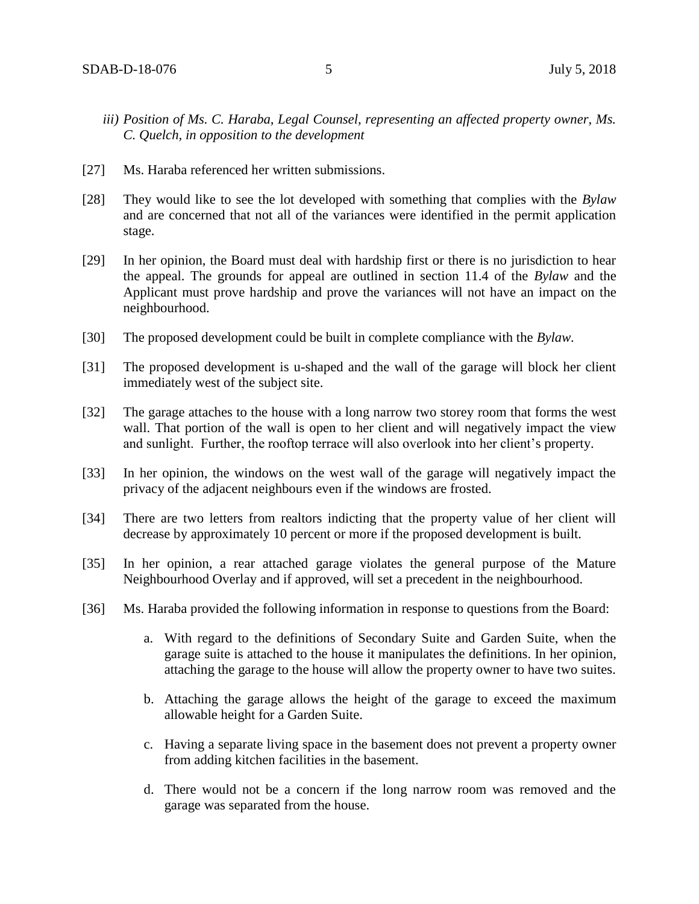- *iii) Position of Ms. C. Haraba, Legal Counsel, representing an affected property owner, Ms. C. Quelch, in opposition to the development*
- [27] Ms. Haraba referenced her written submissions.
- [28] They would like to see the lot developed with something that complies with the *Bylaw* and are concerned that not all of the variances were identified in the permit application stage.
- [29] In her opinion, the Board must deal with hardship first or there is no jurisdiction to hear the appeal. The grounds for appeal are outlined in section 11.4 of the *Bylaw* and the Applicant must prove hardship and prove the variances will not have an impact on the neighbourhood.
- [30] The proposed development could be built in complete compliance with the *Bylaw.*
- [31] The proposed development is u-shaped and the wall of the garage will block her client immediately west of the subject site.
- [32] The garage attaches to the house with a long narrow two storey room that forms the west wall. That portion of the wall is open to her client and will negatively impact the view and sunlight. Further, the rooftop terrace will also overlook into her client's property.
- [33] In her opinion, the windows on the west wall of the garage will negatively impact the privacy of the adjacent neighbours even if the windows are frosted.
- [34] There are two letters from realtors indicting that the property value of her client will decrease by approximately 10 percent or more if the proposed development is built.
- [35] In her opinion, a rear attached garage violates the general purpose of the Mature Neighbourhood Overlay and if approved, will set a precedent in the neighbourhood.
- [36] Ms. Haraba provided the following information in response to questions from the Board:
	- a. With regard to the definitions of Secondary Suite and Garden Suite, when the garage suite is attached to the house it manipulates the definitions. In her opinion, attaching the garage to the house will allow the property owner to have two suites.
	- b. Attaching the garage allows the height of the garage to exceed the maximum allowable height for a Garden Suite.
	- c. Having a separate living space in the basement does not prevent a property owner from adding kitchen facilities in the basement.
	- d. There would not be a concern if the long narrow room was removed and the garage was separated from the house.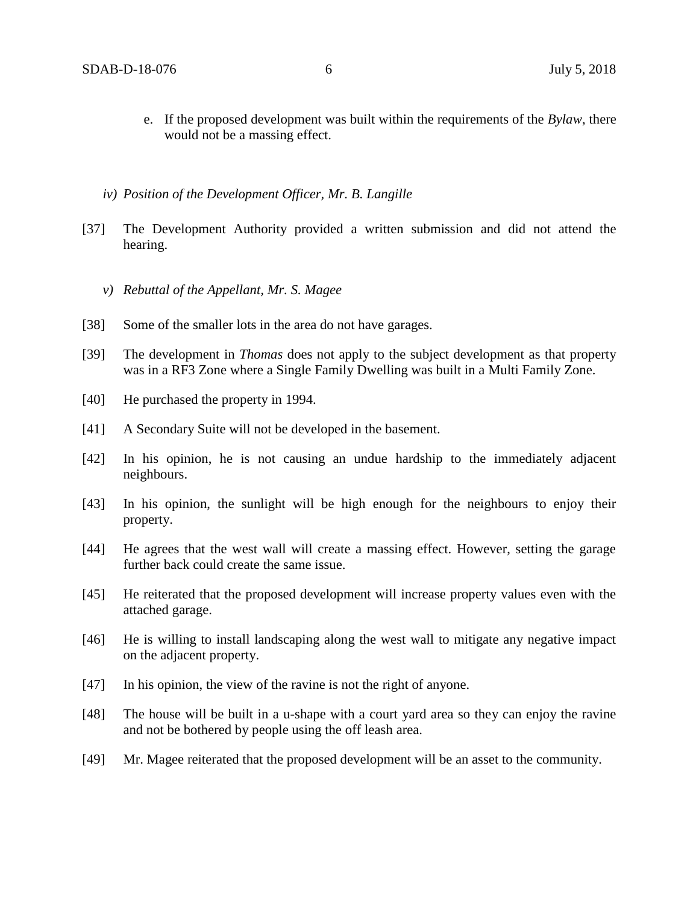- e. If the proposed development was built within the requirements of the *Bylaw*, there would not be a massing effect.
- *iv) Position of the Development Officer, Mr. B. Langille*
- [37] The Development Authority provided a written submission and did not attend the hearing.
	- *v) Rebuttal of the Appellant, Mr. S. Magee*
- [38] Some of the smaller lots in the area do not have garages.
- [39] The development in *Thomas* does not apply to the subject development as that property was in a RF3 Zone where a Single Family Dwelling was built in a Multi Family Zone.
- [40] He purchased the property in 1994.
- [41] A Secondary Suite will not be developed in the basement.
- [42] In his opinion, he is not causing an undue hardship to the immediately adjacent neighbours.
- [43] In his opinion, the sunlight will be high enough for the neighbours to enjoy their property.
- [44] He agrees that the west wall will create a massing effect. However, setting the garage further back could create the same issue.
- [45] He reiterated that the proposed development will increase property values even with the attached garage.
- [46] He is willing to install landscaping along the west wall to mitigate any negative impact on the adjacent property.
- [47] In his opinion, the view of the ravine is not the right of anyone.
- [48] The house will be built in a u-shape with a court yard area so they can enjoy the ravine and not be bothered by people using the off leash area.
- [49] Mr. Magee reiterated that the proposed development will be an asset to the community.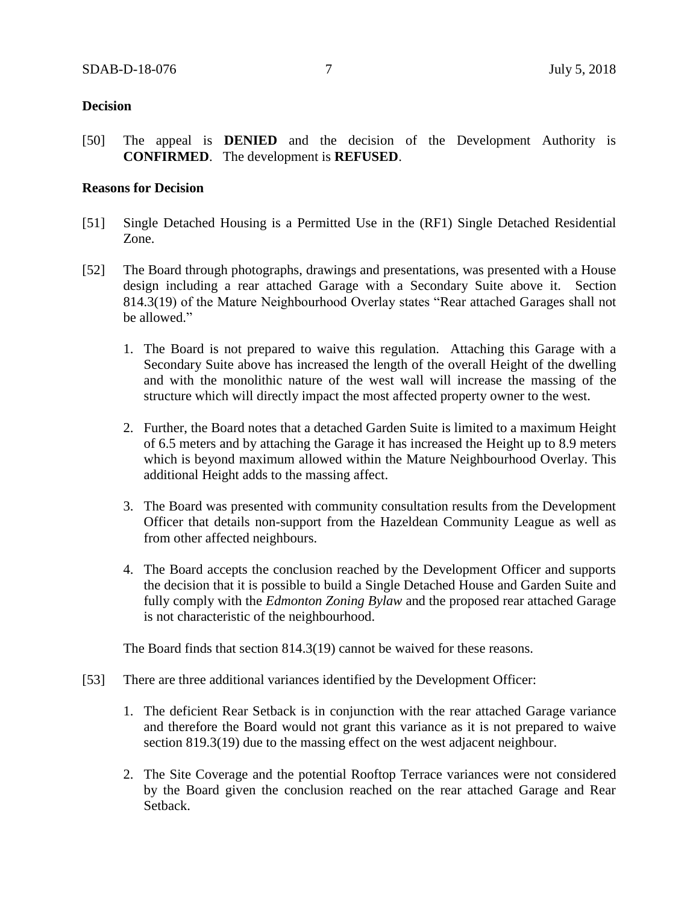## **Decision**

[50] The appeal is **DENIED** and the decision of the Development Authority is **CONFIRMED**. The development is **REFUSED**.

## **Reasons for Decision**

- [51] Single Detached Housing is a Permitted Use in the (RF1) Single Detached Residential Zone.
- [52] The Board through photographs, drawings and presentations, was presented with a House design including a rear attached Garage with a Secondary Suite above it. Section 814.3(19) of the Mature Neighbourhood Overlay states "Rear attached Garages shall not be allowed."
	- 1. The Board is not prepared to waive this regulation. Attaching this Garage with a Secondary Suite above has increased the length of the overall Height of the dwelling and with the monolithic nature of the west wall will increase the massing of the structure which will directly impact the most affected property owner to the west.
	- 2. Further, the Board notes that a detached Garden Suite is limited to a maximum Height of 6.5 meters and by attaching the Garage it has increased the Height up to 8.9 meters which is beyond maximum allowed within the Mature Neighbourhood Overlay. This additional Height adds to the massing affect.
	- 3. The Board was presented with community consultation results from the Development Officer that details non-support from the Hazeldean Community League as well as from other affected neighbours.
	- 4. The Board accepts the conclusion reached by the Development Officer and supports the decision that it is possible to build a Single Detached House and Garden Suite and fully comply with the *Edmonton Zoning Bylaw* and the proposed rear attached Garage is not characteristic of the neighbourhood.

The Board finds that section 814.3(19) cannot be waived for these reasons.

- [53] There are three additional variances identified by the Development Officer:
	- 1. The deficient Rear Setback is in conjunction with the rear attached Garage variance and therefore the Board would not grant this variance as it is not prepared to waive section 819.3(19) due to the massing effect on the west adjacent neighbour.
	- 2. The Site Coverage and the potential Rooftop Terrace variances were not considered by the Board given the conclusion reached on the rear attached Garage and Rear Setback.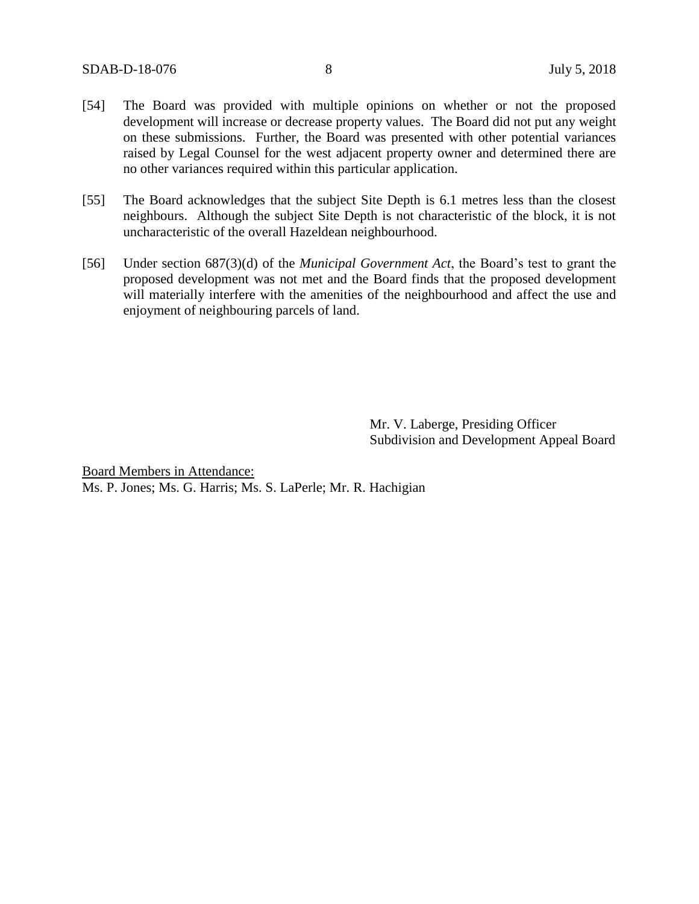- [54] The Board was provided with multiple opinions on whether or not the proposed development will increase or decrease property values. The Board did not put any weight on these submissions. Further, the Board was presented with other potential variances raised by Legal Counsel for the west adjacent property owner and determined there are no other variances required within this particular application.
- [55] The Board acknowledges that the subject Site Depth is 6.1 metres less than the closest neighbours. Although the subject Site Depth is not characteristic of the block, it is not uncharacteristic of the overall Hazeldean neighbourhood.
- [56] Under section 687(3)(d) of the *Municipal Government Act*, the Board's test to grant the proposed development was not met and the Board finds that the proposed development will materially interfere with the amenities of the neighbourhood and affect the use and enjoyment of neighbouring parcels of land.

Mr. V. Laberge, Presiding Officer Subdivision and Development Appeal Board

Board Members in Attendance: Ms. P. Jones; Ms. G. Harris; Ms. S. LaPerle; Mr. R. Hachigian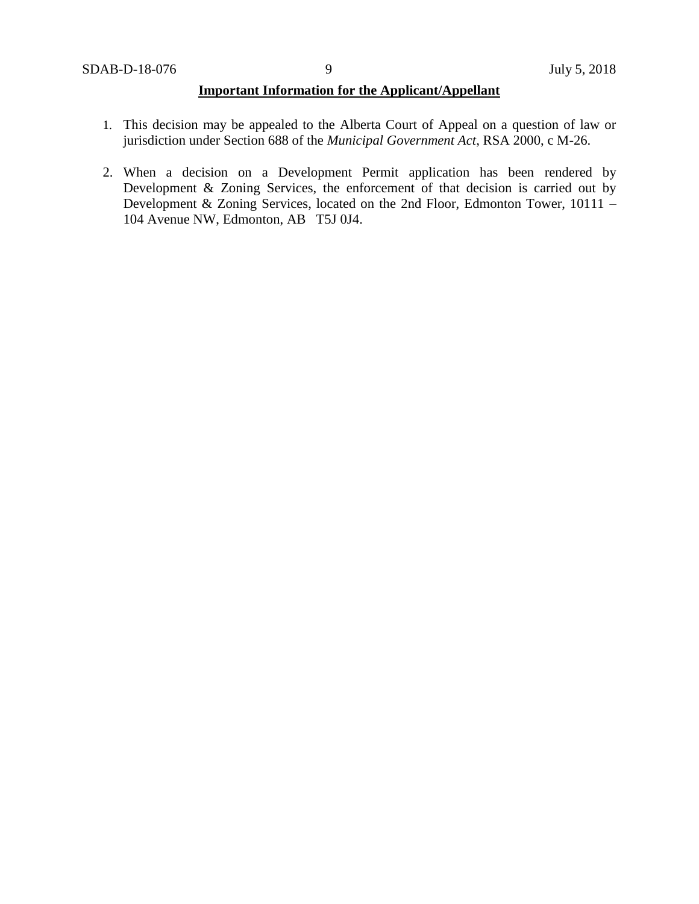## **Important Information for the Applicant/Appellant**

- 1. This decision may be appealed to the Alberta Court of Appeal on a question of law or jurisdiction under Section 688 of the *Municipal Government Act*, RSA 2000, c M-26.
- 2. When a decision on a Development Permit application has been rendered by Development & Zoning Services, the enforcement of that decision is carried out by Development & Zoning Services, located on the 2nd Floor, Edmonton Tower, 10111 – 104 Avenue NW, Edmonton, AB T5J 0J4.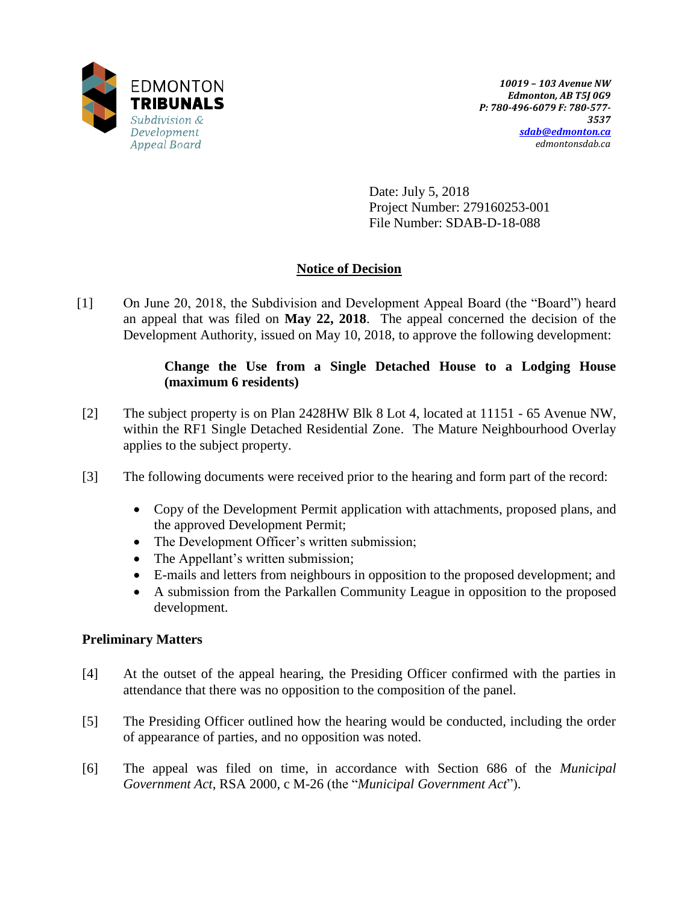

Date: July 5, 2018 Project Number: 279160253-001 File Number: SDAB-D-18-088

# **Notice of Decision**

[1] On June 20, 2018, the Subdivision and Development Appeal Board (the "Board") heard an appeal that was filed on **May 22, 2018**. The appeal concerned the decision of the Development Authority, issued on May 10, 2018, to approve the following development:

# **Change the Use from a Single Detached House to a Lodging House (maximum 6 residents)**

- [2] The subject property is on Plan 2428HW Blk 8 Lot 4, located at 11151 65 Avenue NW, within the RF1 Single Detached Residential Zone. The Mature Neighbourhood Overlay applies to the subject property.
- [3] The following documents were received prior to the hearing and form part of the record:
	- Copy of the Development Permit application with attachments, proposed plans, and the approved Development Permit;
	- The Development Officer's written submission;
	- The Appellant's written submission;
	- E-mails and letters from neighbours in opposition to the proposed development; and
	- A submission from the Parkallen Community League in opposition to the proposed development.

# **Preliminary Matters**

- [4] At the outset of the appeal hearing, the Presiding Officer confirmed with the parties in attendance that there was no opposition to the composition of the panel.
- [5] The Presiding Officer outlined how the hearing would be conducted, including the order of appearance of parties, and no opposition was noted.
- [6] The appeal was filed on time, in accordance with Section 686 of the *Municipal Government Act*, RSA 2000, c M-26 (the "*Municipal Government Act*").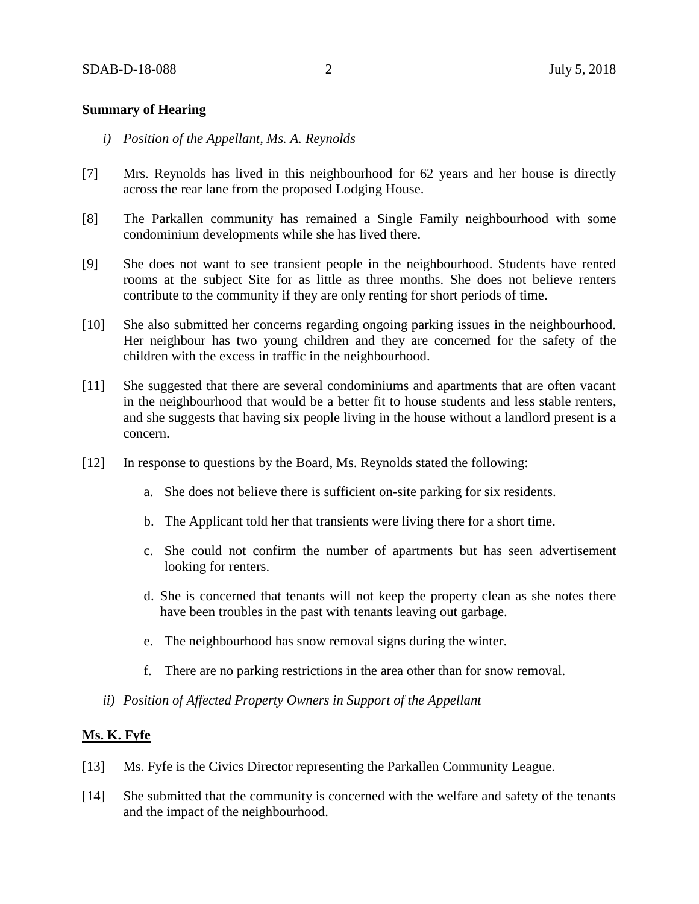## **Summary of Hearing**

- *i) Position of the Appellant, Ms. A. Reynolds*
- [7] Mrs. Reynolds has lived in this neighbourhood for 62 years and her house is directly across the rear lane from the proposed Lodging House.
- [8] The Parkallen community has remained a Single Family neighbourhood with some condominium developments while she has lived there.
- [9] She does not want to see transient people in the neighbourhood. Students have rented rooms at the subject Site for as little as three months. She does not believe renters contribute to the community if they are only renting for short periods of time.
- [10] She also submitted her concerns regarding ongoing parking issues in the neighbourhood. Her neighbour has two young children and they are concerned for the safety of the children with the excess in traffic in the neighbourhood.
- [11] She suggested that there are several condominiums and apartments that are often vacant in the neighbourhood that would be a better fit to house students and less stable renters, and she suggests that having six people living in the house without a landlord present is a concern.
- [12] In response to questions by the Board, Ms. Reynolds stated the following:
	- a. She does not believe there is sufficient on-site parking for six residents.
	- b. The Applicant told her that transients were living there for a short time.
	- c. She could not confirm the number of apartments but has seen advertisement looking for renters.
	- d. She is concerned that tenants will not keep the property clean as she notes there have been troubles in the past with tenants leaving out garbage.
	- e. The neighbourhood has snow removal signs during the winter.
	- f. There are no parking restrictions in the area other than for snow removal.
	- *ii) Position of Affected Property Owners in Support of the Appellant*

## **Ms. K. Fyfe**

- [13] Ms. Fyfe is the Civics Director representing the Parkallen Community League.
- [14] She submitted that the community is concerned with the welfare and safety of the tenants and the impact of the neighbourhood.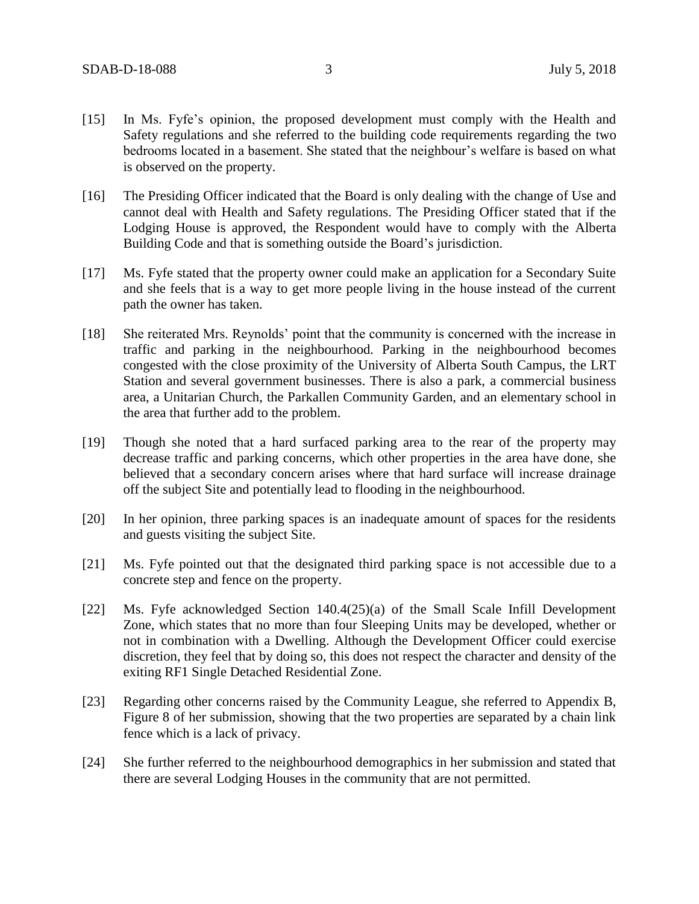- [15] In Ms. Fyfe's opinion, the proposed development must comply with the Health and Safety regulations and she referred to the building code requirements regarding the two bedrooms located in a basement. She stated that the neighbour's welfare is based on what is observed on the property.
- [16] The Presiding Officer indicated that the Board is only dealing with the change of Use and cannot deal with Health and Safety regulations. The Presiding Officer stated that if the Lodging House is approved, the Respondent would have to comply with the Alberta Building Code and that is something outside the Board's jurisdiction.
- [17] Ms. Fyfe stated that the property owner could make an application for a Secondary Suite and she feels that is a way to get more people living in the house instead of the current path the owner has taken.
- [18] She reiterated Mrs. Reynolds' point that the community is concerned with the increase in traffic and parking in the neighbourhood. Parking in the neighbourhood becomes congested with the close proximity of the University of Alberta South Campus, the LRT Station and several government businesses. There is also a park, a commercial business area, a Unitarian Church, the Parkallen Community Garden, and an elementary school in the area that further add to the problem.
- [19] Though she noted that a hard surfaced parking area to the rear of the property may decrease traffic and parking concerns, which other properties in the area have done, she believed that a secondary concern arises where that hard surface will increase drainage off the subject Site and potentially lead to flooding in the neighbourhood.
- [20] In her opinion, three parking spaces is an inadequate amount of spaces for the residents and guests visiting the subject Site.
- [21] Ms. Fyfe pointed out that the designated third parking space is not accessible due to a concrete step and fence on the property.
- [22] Ms. Fyfe acknowledged Section 140.4(25)(a) of the Small Scale Infill Development Zone, which states that no more than four Sleeping Units may be developed, whether or not in combination with a Dwelling. Although the Development Officer could exercise discretion, they feel that by doing so, this does not respect the character and density of the exiting RF1 Single Detached Residential Zone.
- [23] Regarding other concerns raised by the Community League, she referred to Appendix B, Figure 8 of her submission, showing that the two properties are separated by a chain link fence which is a lack of privacy.
- [24] She further referred to the neighbourhood demographics in her submission and stated that there are several Lodging Houses in the community that are not permitted.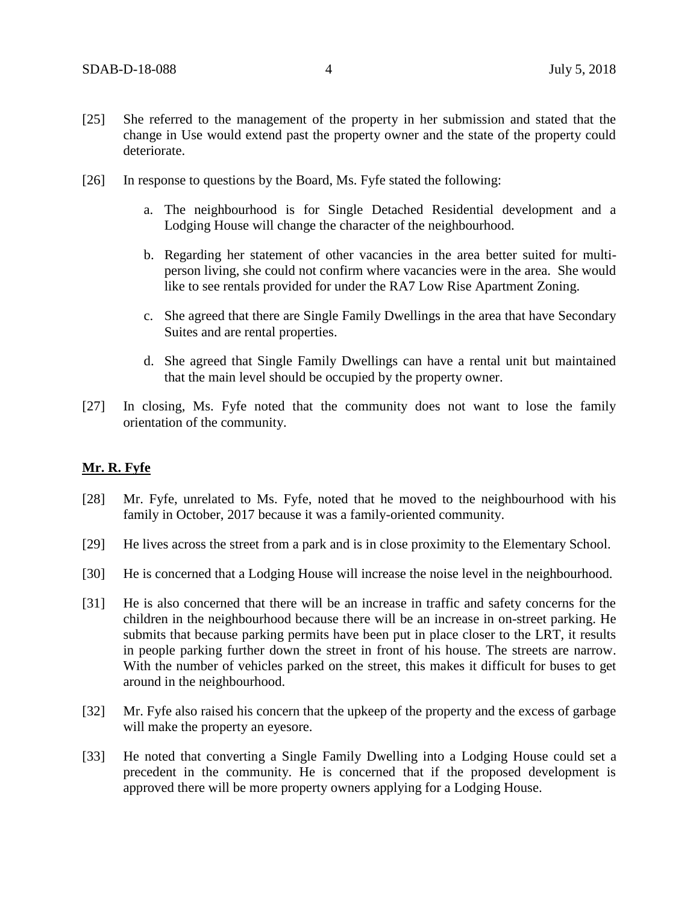- [25] She referred to the management of the property in her submission and stated that the change in Use would extend past the property owner and the state of the property could deteriorate.
- [26] In response to questions by the Board, Ms. Fyfe stated the following:
	- a. The neighbourhood is for Single Detached Residential development and a Lodging House will change the character of the neighbourhood.
	- b. Regarding her statement of other vacancies in the area better suited for multiperson living, she could not confirm where vacancies were in the area. She would like to see rentals provided for under the RA7 Low Rise Apartment Zoning.
	- c. She agreed that there are Single Family Dwellings in the area that have Secondary Suites and are rental properties.
	- d. She agreed that Single Family Dwellings can have a rental unit but maintained that the main level should be occupied by the property owner.
- [27] In closing, Ms. Fyfe noted that the community does not want to lose the family orientation of the community.

### **Mr. R. Fyfe**

- [28] Mr. Fyfe, unrelated to Ms. Fyfe, noted that he moved to the neighbourhood with his family in October, 2017 because it was a family-oriented community.
- [29] He lives across the street from a park and is in close proximity to the Elementary School.
- [30] He is concerned that a Lodging House will increase the noise level in the neighbourhood.
- [31] He is also concerned that there will be an increase in traffic and safety concerns for the children in the neighbourhood because there will be an increase in on-street parking. He submits that because parking permits have been put in place closer to the LRT, it results in people parking further down the street in front of his house. The streets are narrow. With the number of vehicles parked on the street, this makes it difficult for buses to get around in the neighbourhood.
- [32] Mr. Fyfe also raised his concern that the upkeep of the property and the excess of garbage will make the property an eyesore.
- [33] He noted that converting a Single Family Dwelling into a Lodging House could set a precedent in the community. He is concerned that if the proposed development is approved there will be more property owners applying for a Lodging House.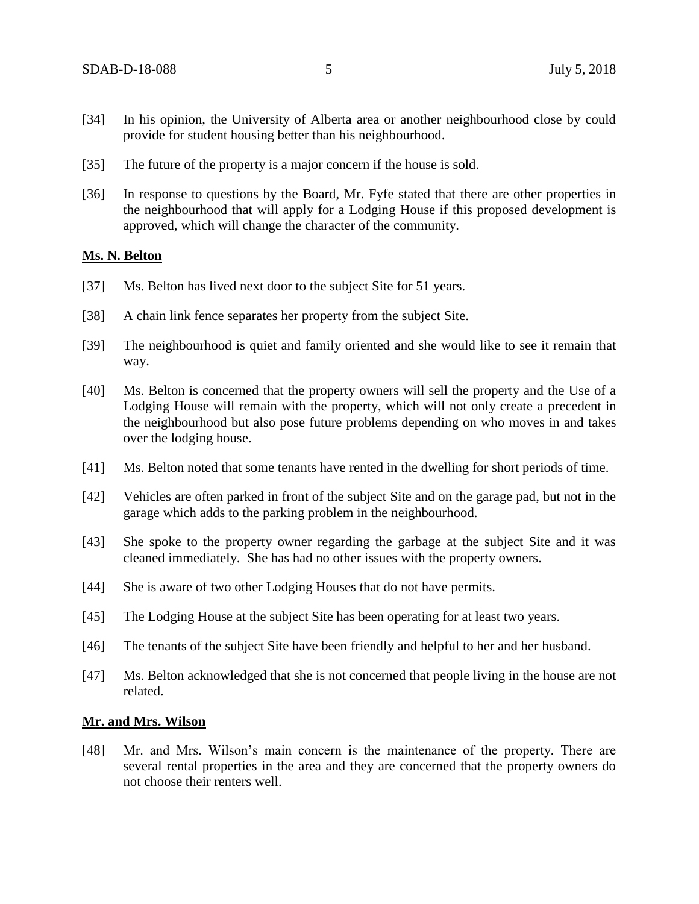- [34] In his opinion, the University of Alberta area or another neighbourhood close by could provide for student housing better than his neighbourhood.
- [35] The future of the property is a major concern if the house is sold.
- [36] In response to questions by the Board, Mr. Fyfe stated that there are other properties in the neighbourhood that will apply for a Lodging House if this proposed development is approved, which will change the character of the community.

#### **Ms. N. Belton**

- [37] Ms. Belton has lived next door to the subject Site for 51 years.
- [38] A chain link fence separates her property from the subject Site.
- [39] The neighbourhood is quiet and family oriented and she would like to see it remain that way.
- [40] Ms. Belton is concerned that the property owners will sell the property and the Use of a Lodging House will remain with the property, which will not only create a precedent in the neighbourhood but also pose future problems depending on who moves in and takes over the lodging house.
- [41] Ms. Belton noted that some tenants have rented in the dwelling for short periods of time.
- [42] Vehicles are often parked in front of the subject Site and on the garage pad, but not in the garage which adds to the parking problem in the neighbourhood.
- [43] She spoke to the property owner regarding the garbage at the subject Site and it was cleaned immediately. She has had no other issues with the property owners.
- [44] She is aware of two other Lodging Houses that do not have permits.
- [45] The Lodging House at the subject Site has been operating for at least two years.
- [46] The tenants of the subject Site have been friendly and helpful to her and her husband.
- [47] Ms. Belton acknowledged that she is not concerned that people living in the house are not related.

#### **Mr. and Mrs. Wilson**

[48] Mr. and Mrs. Wilson's main concern is the maintenance of the property. There are several rental properties in the area and they are concerned that the property owners do not choose their renters well.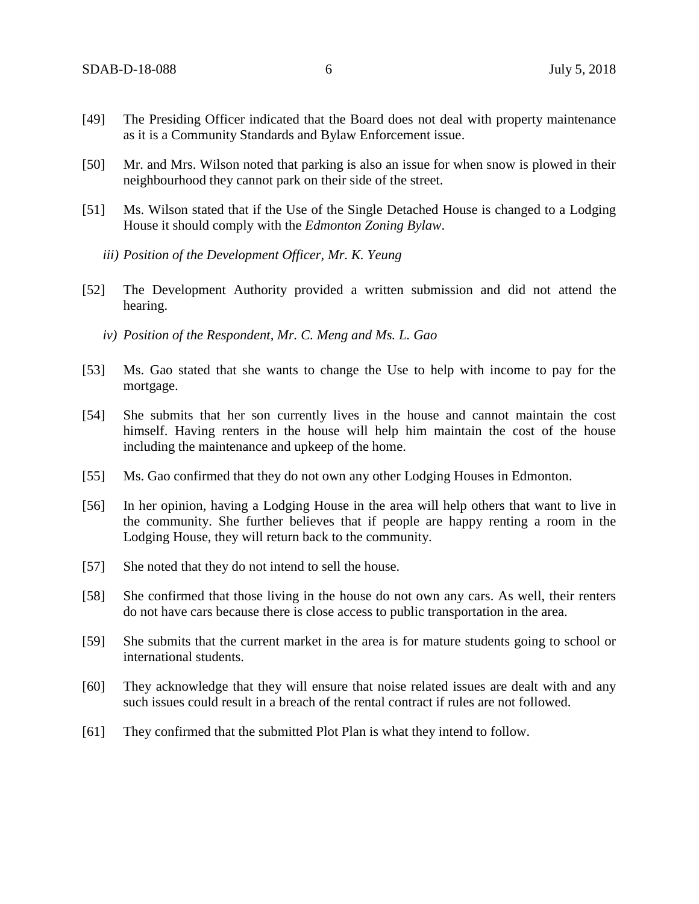- [49] The Presiding Officer indicated that the Board does not deal with property maintenance as it is a Community Standards and Bylaw Enforcement issue.
- [50] Mr. and Mrs. Wilson noted that parking is also an issue for when snow is plowed in their neighbourhood they cannot park on their side of the street.
- [51] Ms. Wilson stated that if the Use of the Single Detached House is changed to a Lodging House it should comply with the *Edmonton Zoning Bylaw*.
	- *iii) Position of the Development Officer, Mr. K. Yeung*
- [52] The Development Authority provided a written submission and did not attend the hearing.
	- *iv) Position of the Respondent, Mr. C. Meng and Ms. L. Gao*
- [53] Ms. Gao stated that she wants to change the Use to help with income to pay for the mortgage.
- [54] She submits that her son currently lives in the house and cannot maintain the cost himself. Having renters in the house will help him maintain the cost of the house including the maintenance and upkeep of the home.
- [55] Ms. Gao confirmed that they do not own any other Lodging Houses in Edmonton.
- [56] In her opinion, having a Lodging House in the area will help others that want to live in the community. She further believes that if people are happy renting a room in the Lodging House, they will return back to the community.
- [57] She noted that they do not intend to sell the house.
- [58] She confirmed that those living in the house do not own any cars. As well, their renters do not have cars because there is close access to public transportation in the area.
- [59] She submits that the current market in the area is for mature students going to school or international students.
- [60] They acknowledge that they will ensure that noise related issues are dealt with and any such issues could result in a breach of the rental contract if rules are not followed.
- [61] They confirmed that the submitted Plot Plan is what they intend to follow.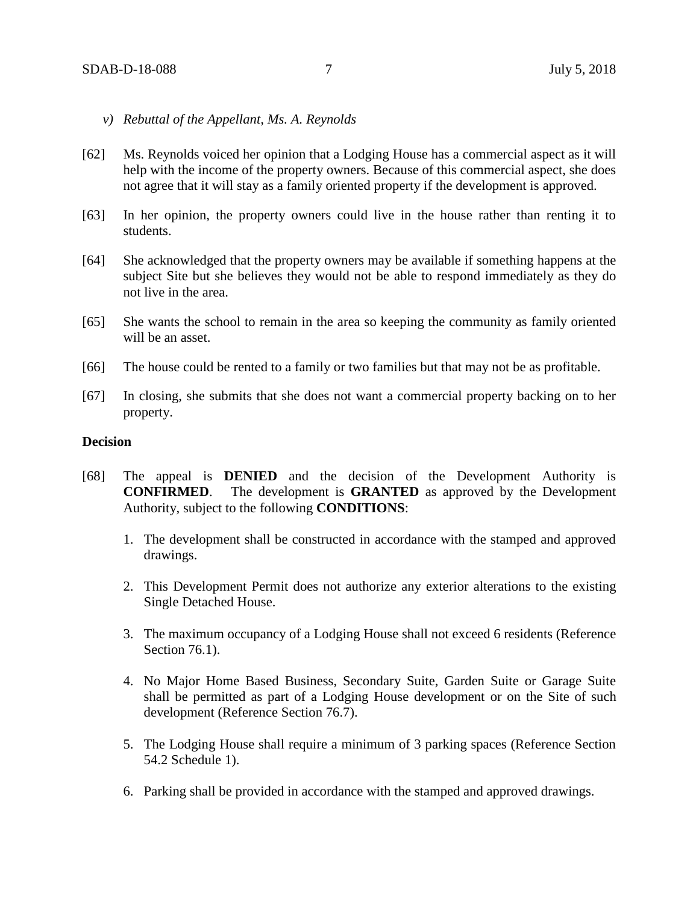- *v) Rebuttal of the Appellant, Ms. A. Reynolds*
- [62] Ms. Reynolds voiced her opinion that a Lodging House has a commercial aspect as it will help with the income of the property owners. Because of this commercial aspect, she does not agree that it will stay as a family oriented property if the development is approved.
- [63] In her opinion, the property owners could live in the house rather than renting it to students.
- [64] She acknowledged that the property owners may be available if something happens at the subject Site but she believes they would not be able to respond immediately as they do not live in the area.
- [65] She wants the school to remain in the area so keeping the community as family oriented will be an asset.
- [66] The house could be rented to a family or two families but that may not be as profitable.
- [67] In closing, she submits that she does not want a commercial property backing on to her property.

## **Decision**

- [68] The appeal is **DENIED** and the decision of the Development Authority is **CONFIRMED**. The development is **GRANTED** as approved by the Development Authority, subject to the following **CONDITIONS**:
	- 1. The development shall be constructed in accordance with the stamped and approved drawings.
	- 2. This Development Permit does not authorize any exterior alterations to the existing Single Detached House.
	- 3. The maximum occupancy of a Lodging House shall not exceed 6 residents (Reference Section 76.1).
	- 4. No Major Home Based Business, Secondary Suite, Garden Suite or Garage Suite shall be permitted as part of a Lodging House development or on the Site of such development (Reference Section 76.7).
	- 5. The Lodging House shall require a minimum of 3 parking spaces (Reference Section 54.2 Schedule 1).
	- 6. Parking shall be provided in accordance with the stamped and approved drawings.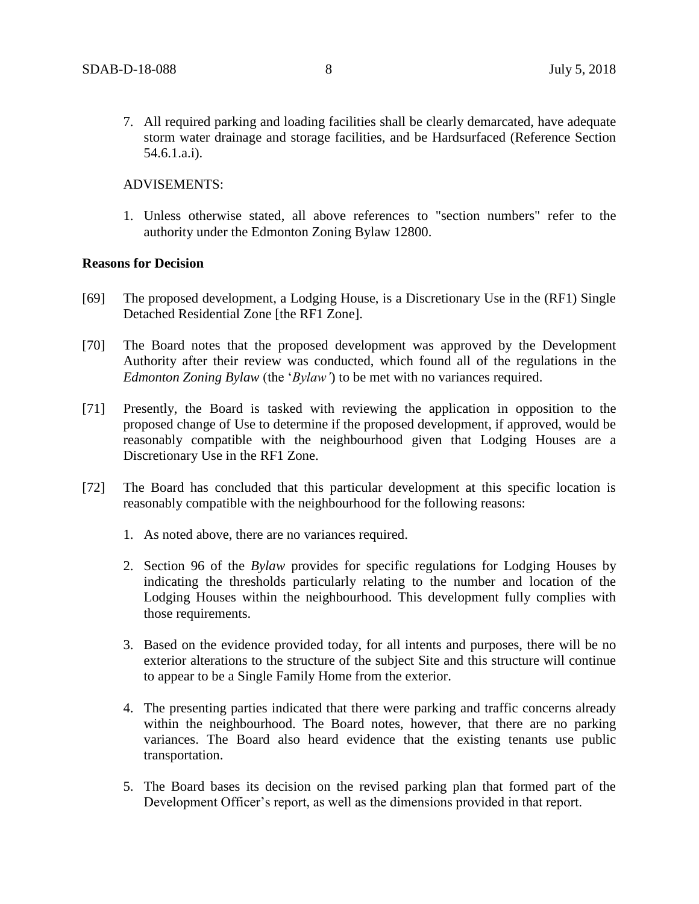7. All required parking and loading facilities shall be clearly demarcated, have adequate storm water drainage and storage facilities, and be Hardsurfaced (Reference Section 54.6.1.a.i).

## ADVISEMENTS:

1. Unless otherwise stated, all above references to "section numbers" refer to the authority under the Edmonton Zoning Bylaw 12800.

## **Reasons for Decision**

- [69] The proposed development, a Lodging House, is a Discretionary Use in the (RF1) Single Detached Residential Zone [the RF1 Zone].
- [70] The Board notes that the proposed development was approved by the Development Authority after their review was conducted, which found all of the regulations in the *Edmonton Zoning Bylaw* (the '*Bylaw'*) to be met with no variances required.
- [71] Presently, the Board is tasked with reviewing the application in opposition to the proposed change of Use to determine if the proposed development, if approved, would be reasonably compatible with the neighbourhood given that Lodging Houses are a Discretionary Use in the RF1 Zone.
- [72] The Board has concluded that this particular development at this specific location is reasonably compatible with the neighbourhood for the following reasons:
	- 1. As noted above, there are no variances required.
	- 2. Section 96 of the *Bylaw* provides for specific regulations for Lodging Houses by indicating the thresholds particularly relating to the number and location of the Lodging Houses within the neighbourhood. This development fully complies with those requirements.
	- 3. Based on the evidence provided today, for all intents and purposes, there will be no exterior alterations to the structure of the subject Site and this structure will continue to appear to be a Single Family Home from the exterior.
	- 4. The presenting parties indicated that there were parking and traffic concerns already within the neighbourhood. The Board notes, however, that there are no parking variances. The Board also heard evidence that the existing tenants use public transportation.
	- 5. The Board bases its decision on the revised parking plan that formed part of the Development Officer's report, as well as the dimensions provided in that report.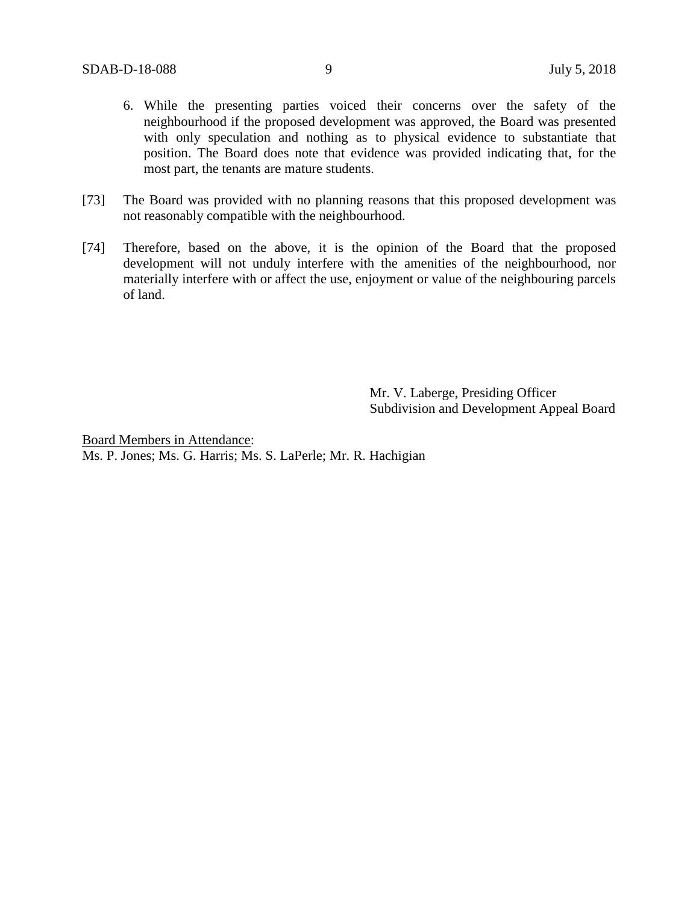- 6. While the presenting parties voiced their concerns over the safety of the neighbourhood if the proposed development was approved, the Board was presented with only speculation and nothing as to physical evidence to substantiate that position. The Board does note that evidence was provided indicating that, for the most part, the tenants are mature students.
- [73] The Board was provided with no planning reasons that this proposed development was not reasonably compatible with the neighbourhood.
- [74] Therefore, based on the above, it is the opinion of the Board that the proposed development will not unduly interfere with the amenities of the neighbourhood, nor materially interfere with or affect the use, enjoyment or value of the neighbouring parcels of land.

Mr. V. Laberge, Presiding Officer Subdivision and Development Appeal Board

Board Members in Attendance: Ms. P. Jones; Ms. G. Harris; Ms. S. LaPerle; Mr. R. Hachigian